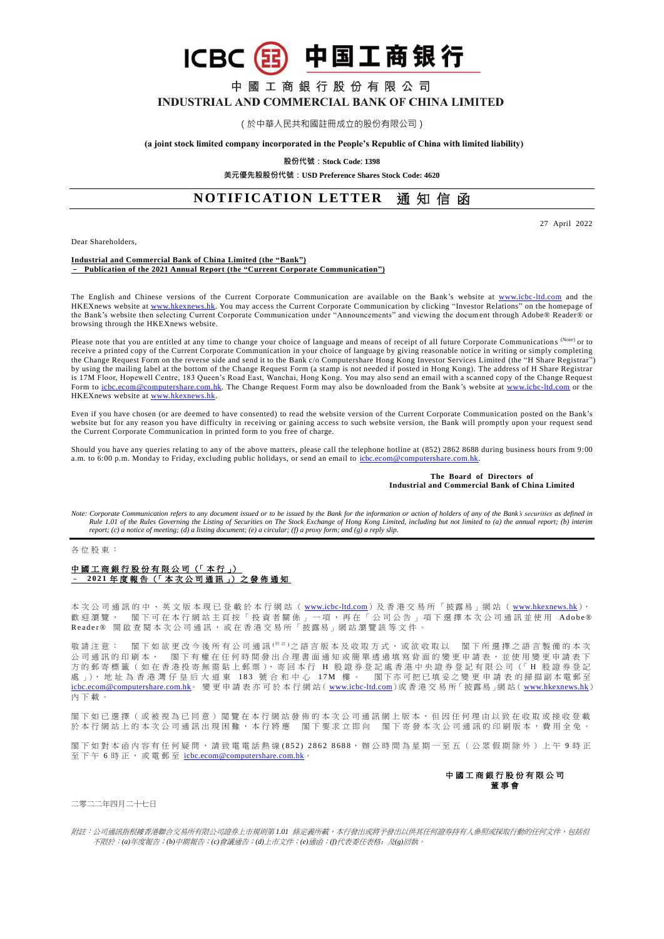**ICBC** 32 中国工商银行

# 中 國 工 商 銀 行 股 份 有 限 公 司 INDUSTRIAL AND COMMERCIAL BANK OF CHINA LIMITED

(於中華人民共和國註冊成立的股份有限公司)

### **(a joint stock limited company incorporated in the People's Republic of China with limited liability)**

**股份代號:Stock Code: 1398**

**美元優先股股份代號:USD Preference Shares Stock Code: 4620**

# **NOTIFICATION LETTER** 通知信函

Dear Shareholders,

27 April 2022

#### **Industrial and Commercial Bank of China Limited (the "Bank")** – **Publication of the 2021 Annual Report (the "Current Corporate Communication")**

The English and Chinese versions of the Current Corporate Communication are available on the Bank's website at [www.icbc-ltd.com](http://www.icbc-ltd.com/ICBCLtd/en/default.htm) and the HKEXnews website a[t www.hkexnews.hk.](http://www.hkexnews.hk/) You may access the Current Corporate Communication by clicking "Investor Relations" on the homepage of the Bank's website then selecting Current Corporate Communication under "Announcements" and viewing the document through Adobe® Reader® or browsing through the HKEXnews website.

Please note that you are entitled at any time to change your choice of language and means of receipt of all future Corporate Communications (Note) or to receive a printed copy of the Current Corporate Communication in your choice of language by giving reasonable notice in writing or simply completing the Change Request Form on the reverse side and send it to the Bank c/o Computershare Hong Kong Investor Services Limited (the "H Share Registrar") by using the mailing label at the bottom of the Change Request Form (a stamp is not needed if posted in Hong Kong). The address of H Share Registrar is 17M Floor, Hopewell Centre, 183 Queen's Road East, Wanchai, Hong Kong. You may also send an email with a scanned copy of the Change Request Form to [icbc.ecom@computershare.com.hk.](mailto:icbc.ecom@computershare.com.hk) The Change Request Form may also be downloaded from the Bank's website at [www.icbc-ltd.com](http://www.icbc-ltd.com/ICBCLtd/en/default.htm) or the HKEXnews website a[t www.hkexnews.hk.](http://www.hkexnews.hk/)

Even if you have chosen (or are deemed to have consented) to read the website version of the Current Corporate Communication posted on the Bank's website but for any reason you have difficulty in receiving or gaining access to such website version, the Bank will promptly upon your request send the Current Corporate Communication in printed form to you free of charge.

Should you have any queries relating to any of the above matters, please call the telephone hotline at (852) 2862 8688 during business hours from 9:00 a.m. to 6:00 p.m. Monday to Friday, excluding public holidays, or send an email to [icbc.ecom@computershare.com.hk.](mailto:icbc.ecom@computershare.com.hk)

### **The Board of Directors of Industrial and Commercial Bank of China Limited**

*Note: Corporate Communication refers to any document issued or to be issued by the Bank for the information or action of holders of any of the Bank's securities as defined in Rule 1.01 of the Rules Governing the Listing of Securities on The Stock Exchange of Hong Kong Limited, including but not limited to (a) the annual report; (b) interim report; (c) a notice of meeting; (d) a listing document; (e) a circular; (f) a proxy form; and (g) a reply slip.*

#### 各位股東:

## 中國工商銀行股份有限公司 (「本行」) – **2 0 2 1** 年 度 報 告 (「 本 次 公 司 通 訊 」) 之 發 佈 通 知

本 次 公 司 通 訊 的 中 、 英 文 版 本 現 已 登 載 於 本 行 網 站 ( <u>[www.icbc-ltd.com](http://www.icbc-ltd.com/icbcltd/default.htm)</u> )及 香 港 交 易 所 「 披露 易 」網 站 ( <u>[www.hkexnews.hk](http://www.hkexnews.hk/)</u> ), 歡 迎 瀏 覽 , 閣 下 可 在 本 行 網 站 主 頁 按 「 投 資 者 關 係 」 一 項 , 再 在 「 公 司 公 告 」 項 下 選 擇 本 次 公 司 通 訊 並 使 用 Aldobe® Reader® 開啟 查閱 本 次 公 司 通 訊 , 或 在 香 港 交 易 所 「 披 露 易 」 網 站 瀏 覽 該 等 文 件 。

敬請注意: 閣下如欲更改今後所有公司通訊(<sup># #)</sup>之語言版本及收取方式,或欲收取以 閣下所選擇之語言製備的本次 公司通訊的印刷本, 閣下有權在任何時間發出合理書面通知或簡單透過填寫背面的變更申請表,並使用變更申請表下 方的郵寄標籤(如在香港投寄無需貼上郵票), 寄回本行 H 股證券登記處香港中央證券登記有限公司(「H 股證券登記 處 」), 地址 為 香 港 灣 仔 皇 后 大 道 東 183 號 合 和 中 心 17M 樓 。 閣下 亦 可 把 已 填 妥 之 變 更 申 請 表 的 掃 描 副 本 電 郵 至 [icbc.ecom@computershare.com.hk](mailto:icbc.ecom@computershare.com.hk)。 變 更 申 請 表 亦 可 於 本 行 網 站 ( [www.icbc-ltd.com](http://www.icbc-ltd.com/icbcltd/default.htm))或 香 港 交 易 所 「 披 露 易 」網 站 ( [www.hkexnews.hk](http://www.hkexnews.hk/)) 內下載。

閣下如已 選擇(或被視為已同意) 閲覽 在本行網站發佈的本次公司通訊網上版本,但因任何理由以致在收取或接收登載 於本行網站上的本次公司通訊出現困難,本行將應 閣下要求立即向 閣下寄發本次公司通訊的印刷版本,費用全免。

閣下如對本函内容有任何疑問,請致電電話熱線 (852) 2862 8688,辦公時間為星期一至五(公眾假期除外)上午9時正 至下午 6 時正,或電郵至 [icbc.ecom@computershare.com.hk](mailto:icbc.ecom@computershare.com.hk)。



## 二零二二年四月二十七日

附註:公司通訊指根據香港聯合交易所有限公司證券上市規則第 1.01 條定義所載,本行發出或將予發出以供其任何證券持有人參照或採取行動的任何文件,包括但 不限於:*(a)*年度報告;*(b)*中期報告;*(c)*會議通告;*(d)*上市文件;*(e)*通函;*(f)*代表委任表格;及*(g)*回執。